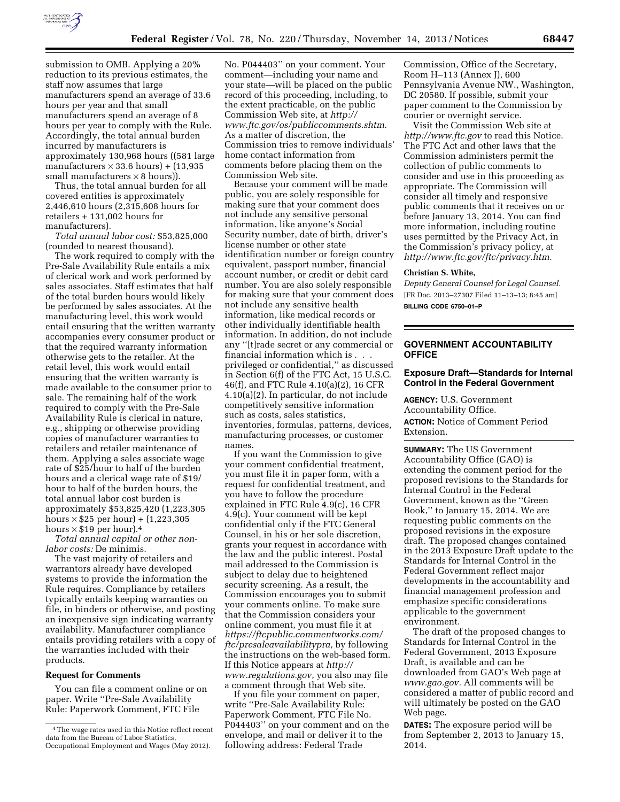

submission to OMB. Applying a 20% reduction to its previous estimates, the staff now assumes that large manufacturers spend an average of 33.6 hours per year and that small manufacturers spend an average of 8 hours per year to comply with the Rule. Accordingly, the total annual burden incurred by manufacturers is approximately 130,968 hours ((581 large manufacturers  $\times$  33.6 hours) + (13,935 small manufacturers  $\times 8$  hours)).

Thus, the total annual burden for all covered entities is approximately 2,446,610 hours (2,315,608 hours for retailers + 131,002 hours for manufacturers).

*Total annual labor cost:* \$53,825,000 (rounded to nearest thousand).

The work required to comply with the Pre-Sale Availability Rule entails a mix of clerical work and work performed by sales associates. Staff estimates that half of the total burden hours would likely be performed by sales associates. At the manufacturing level, this work would entail ensuring that the written warranty accompanies every consumer product or that the required warranty information otherwise gets to the retailer. At the retail level, this work would entail ensuring that the written warranty is made available to the consumer prior to sale. The remaining half of the work required to comply with the Pre-Sale Availability Rule is clerical in nature, e.g., shipping or otherwise providing copies of manufacturer warranties to retailers and retailer maintenance of them. Applying a sales associate wage rate of \$25/hour to half of the burden hours and a clerical wage rate of \$19/ hour to half of the burden hours, the total annual labor cost burden is approximately \$53,825,420 (1,223,305 hours  $\times$  \$25 per hour) + (1,223,305 hours  $\times$  \$19 per hour).<sup>4</sup>

*Total annual capital or other nonlabor costs:* De minimis.

The vast majority of retailers and warrantors already have developed systems to provide the information the Rule requires. Compliance by retailers typically entails keeping warranties on file, in binders or otherwise, and posting an inexpensive sign indicating warranty availability. Manufacturer compliance entails providing retailers with a copy of the warranties included with their products.

#### **Request for Comments**

You can file a comment online or on paper. Write ''Pre-Sale Availability Rule: Paperwork Comment, FTC File

No. P044403'' on your comment. Your comment—including your name and your state—will be placed on the public record of this proceeding, including, to the extent practicable, on the public Commission Web site, at *[http://](http://www.ftc.gov/os/publiccomments.shtm) [www.ftc.gov/os/publiccomments.shtm.](http://www.ftc.gov/os/publiccomments.shtm)*  As a matter of discretion, the Commission tries to remove individuals' home contact information from comments before placing them on the Commission Web site.

Because your comment will be made public, you are solely responsible for making sure that your comment does not include any sensitive personal information, like anyone's Social Security number, date of birth, driver's license number or other state identification number or foreign country equivalent, passport number, financial account number, or credit or debit card number. You are also solely responsible for making sure that your comment does not include any sensitive health information, like medical records or other individually identifiable health information. In addition, do not include any ''[t]rade secret or any commercial or financial information which is . . . privileged or confidential,'' as discussed in Section 6(f) of the FTC Act, 15 U.S.C. 46(f), and FTC Rule 4.10(a)(2), 16 CFR 4.10(a)(2). In particular, do not include competitively sensitive information such as costs, sales statistics, inventories, formulas, patterns, devices, manufacturing processes, or customer names.

If you want the Commission to give your comment confidential treatment, you must file it in paper form, with a request for confidential treatment, and you have to follow the procedure explained in FTC Rule 4.9(c), 16 CFR 4.9(c). Your comment will be kept confidential only if the FTC General Counsel, in his or her sole discretion, grants your request in accordance with the law and the public interest. Postal mail addressed to the Commission is subject to delay due to heightened security screening. As a result, the Commission encourages you to submit your comments online. To make sure that the Commission considers your online comment, you must file it at *[https://ftcpublic.commentworks.com/](https://ftcpublic.commentworks.com/ftc/presaleavailabilitypra) [ftc/presaleavailabilitypra,](https://ftcpublic.commentworks.com/ftc/presaleavailabilitypra)* by following the instructions on the web-based form. If this Notice appears at *[http://](http://www.regulations.gov) [www.regulations.gov,](http://www.regulations.gov)* you also may file a comment through that Web site.

If you file your comment on paper, write ''Pre-Sale Availability Rule: Paperwork Comment, FTC File No. P044403'' on your comment and on the envelope, and mail or deliver it to the following address: Federal Trade

Commission, Office of the Secretary, Room H–113 (Annex J), 600 Pennsylvania Avenue NW., Washington, DC 20580. If possible, submit your paper comment to the Commission by courier or overnight service.

Visit the Commission Web site at *<http://www.ftc.gov>*to read this Notice. The FTC Act and other laws that the Commission administers permit the collection of public comments to consider and use in this proceeding as appropriate. The Commission will consider all timely and responsive public comments that it receives on or before January 13, 2014. You can find more information, including routine uses permitted by the Privacy Act, in the Commission's privacy policy, at *[http://www.ftc.gov/ftc/privacy.htm.](http://www.ftc.gov/ftc/privacy.htm)* 

## **Christian S. White,**

*Deputy General Counsel for Legal Counsel.*  [FR Doc. 2013–27307 Filed 11–13–13; 8:45 am] **BILLING CODE 6750–01–P** 

# **GOVERNMENT ACCOUNTABILITY OFFICE**

### **Exposure Draft—Standards for Internal Control in the Federal Government**

**AGENCY:** U.S. Government Accountability Office. **ACTION:** Notice of Comment Period Extension.

**SUMMARY:** The US Government Accountability Office (GAO) is extending the comment period for the proposed revisions to the Standards for Internal Control in the Federal Government, known as the ''Green Book,'' to January 15, 2014. We are requesting public comments on the proposed revisions in the exposure draft. The proposed changes contained in the 2013 Exposure Draft update to the Standards for Internal Control in the Federal Government reflect major developments in the accountability and financial management profession and emphasize specific considerations applicable to the government environment.

The draft of the proposed changes to Standards for Internal Control in the Federal Government, 2013 Exposure Draft, is available and can be downloaded from GAO's Web page at *[www.gao.gov.](http://www.gao.gov)* All comments will be considered a matter of public record and will ultimately be posted on the GAO Web page.

**DATES:** The exposure period will be from September 2, 2013 to January 15, 2014.

<sup>4</sup>The wage rates used in this Notice reflect recent data from the Bureau of Labor Statistics, Occupational Employment and Wages (May 2012).